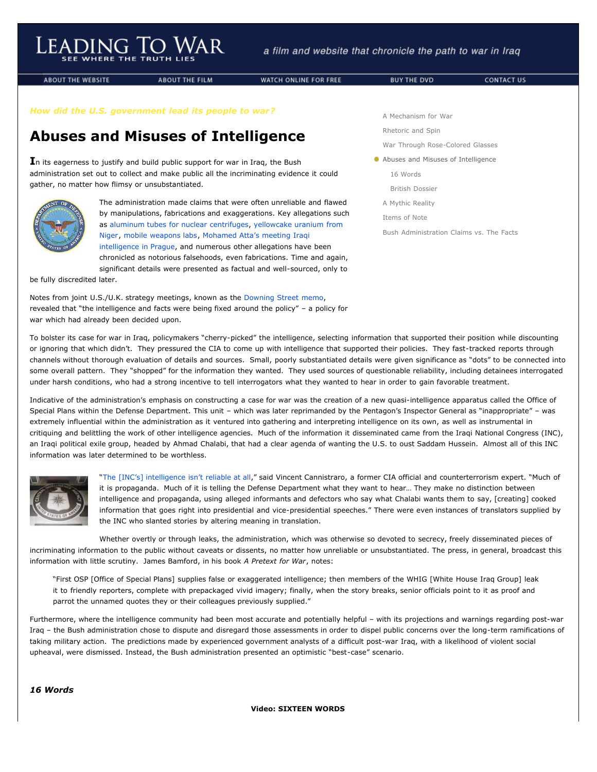**ABOUT THE WEBSITE** 

**ABOUT THE FILM** 

WATCH ONLINE FOR FREE

*How did the U.S. government lead its people to war?*

## **Abuses and Misuses of Intelligence**

**I**n its eagerness to justify and build public support for war in Iraq, the Bush administration set out to collect and make public all the incriminating evidence it could gather, no matter how flimsy or unsubstantiated.



The administration made claims that were often unreliable and flawed by manipulations, fabrications and exaggerations. Key allegations such [as aluminum tubes for nuclear centrifuges, yellowcake uranium from](http://www.leadingtowar.com/claims_facts_yellowcake.php) Niger, [mobile weapons labs,](http://www.leadingtowar.com/claims_facts_nomobile.php) Mohamed Atta's meeting Iraqi [intelligence in Prague, and numerous other allegations have](http://www.leadingtowar.com/claims_facts_atta.php) been chronicled as notorious falsehoods, even fabrications. Time and again,

significant details were presented as factual and well-sourced, only to

be fully discredited later.

Notes from joint U.S./U.K. strategy meetings, known as the [Downing Street memo,](javascript:void(0)) revealed that "the intelligence and facts were being fixed around the policy" – a policy for war which had already been decided upon.

[A Mechanism for War](http://www.leadingtowar.com/mechanism_war.php) [Rhetoric and Spin](http://www.leadingtowar.com/rhetoric_spin.php)

[War Through Rose-Colored Glasses](http://www.leadingtowar.com/war_rosecolored.php)

Abuses and Misuses of Intelligence

[16 Words](http://www.leadingtowar.com/abuses_misuses.php#sixteenwords)

[British Dossier](http://www.leadingtowar.com/abuses_misuses.php#britishdossier)

[A Mythic Reality](http://www.leadingtowar.com/mythic_reality.php)

[Items of Note](http://www.leadingtowar.com/items_note.php)

[Bush Administration Claims vs. The Facts](http://www.leadingtowar.com/claims_facts.php)

To bolster its case for war in Iraq, policymakers "cherry-picked" the intelligence, selecting information that supported their position while discounting or ignoring that which didn't. They pressured the CIA to come up with intelligence that supported their policies. They fast-tracked reports through channels without thorough evaluation of details and sources. Small, poorly substantiated details were given significance as "dots" to be connected into some overall pattern. They "shopped" for the information they wanted. They used sources of questionable reliability, including detainees interrogated under harsh conditions, who had a strong incentive to tell interrogators what they wanted to hear in order to gain favorable treatment.

Indicative of the administration's emphasis on constructing a case for war was the creation of a new quasi-intelligence apparatus called the Office of Special Plans within the Defense Department. This unit – which was later reprimanded by the Pentagon's Inspector General as "inappropriate" – was extremely influential within the administration as it ventured into gathering and interpreting intelligence on its own, as well as instrumental in critiquing and belittling the work of other intelligence agencies. Much of the information it disseminated came from the Iraqi National Congress (INC), an Iraqi political exile group, headed by Ahmad Chalabi, that had a clear agenda of wanting the U.S. to oust Saddam Hussein. Almost all of this INC information was later determined to be worthless.



"[The \[INC's\] intelligence isn't reliable at all](http://www.leadingtowar.com/PDFsources_abuses_misuses/1_AmericanProspect.pdf)," said Vincent Cannistraro, a former CIA official and counterterrorism expert. "Much of it is propaganda. Much of it is telling the Defense Department what they want to hear… They make no distinction between intelligence and propaganda, using alleged informants and defectors who say what Chalabi wants them to say, [creating] cooked information that goes right into presidential and vice-presidential speeches." There were even instances of translators supplied by the INC who slanted stories by altering meaning in translation.

Whether overtly or through leaks, the administration, which was otherwise so devoted to secrecy, freely disseminated pieces of incriminating information to the public without caveats or dissents, no matter how unreliable or unsubstantiated. The press, in general, broadcast this information with little scrutiny. James Bamford, in his book *A Pretext for War*, notes:

"First OSP [Office of Special Plans] supplies false or exaggerated intelligence; then members of the WHIG [White House Iraq Group] leak it to friendly reporters, complete with prepackaged vivid imagery; finally, when the story breaks, senior officials point to it as proof and parrot the unnamed quotes they or their colleagues previously supplied."

Furthermore, where the intelligence community had been most accurate and potentially helpful – with its projections and warnings regarding post-war Iraq – the Bush administration chose to dispute and disregard those assessments in order to dispel public concerns over the long-term ramifications of taking military action. The predictions made by experienced government analysts of a difficult post-war Iraq, with a likelihood of violent social upheaval, were dismissed. Instead, the Bush administration presented an optimistic "best-case" scenario.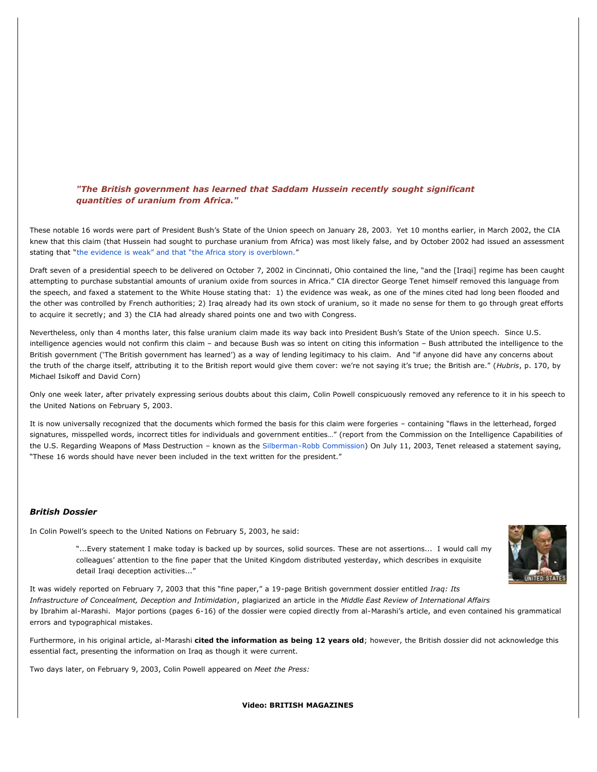## *"The British government has learned that Saddam Hussein recently sought significant quantities of uranium from Africa."*

These notable 16 words were part of President Bush's State of the Union speech on January 28, 2003. Yet 10 months earlier, in March 2002, the CIA knew that this claim (that Hussein had sought to purchase uranium from Africa) was most likely false, and by October 2002 had issued an assessment stating that "[the evidence is weak" and that "the Africa story is overblown.](http://www.leadingtowar.com/claims_facts_yellowcake.php)"

Draft seven of a presidential speech to be delivered on October 7, 2002 in Cincinnati, Ohio contained the line, "and the [Iraqi] regime has been caught attempting to purchase substantial amounts of uranium oxide from sources in Africa." CIA director George Tenet himself removed this language from the speech, and faxed a statement to the White House stating that: 1) the evidence was weak, as one of the mines cited had long been flooded and the other was controlled by French authorities; 2) Iraq already had its own stock of uranium, so it made no sense for them to go through great efforts to acquire it secretly; and 3) the CIA had already shared points one and two with Congress.

Nevertheless, only than 4 months later, this false uranium claim made its way back into President Bush's State of the Union speech. Since U.S. intelligence agencies would not confirm this claim – and because Bush was so intent on citing this information – Bush attributed the intelligence to the British government ('The British government has learned') as a way of lending legitimacy to his claim. And "if anyone did have any concerns about the truth of the charge itself, attributing it to the British report would give them cover: we're not saying it's true; the British are." (*Hubris*, p. 170, by Michael Isikoff and David Corn)

Only one week later, after privately expressing serious doubts about this claim, Colin Powell conspicuously removed any reference to it in his speech to the United Nations on February 5, 2003.

It is now universally recognized that the documents which formed the basis for this claim were forgeries – containing "flaws in the letterhead, forged signatures, misspelled words, incorrect titles for individuals and government entities…" (report from the Commission on the Intelligence Capabilities of the U.S. Regarding Weapons of Mass Destruction - known as the [Silberman-Robb Commission](http://www.leadingtowar.com/PDFsources_abuses_misuses/2_Commission.pdf)) On July 11, 2003, Tenet released a statement saying, "These 16 words should have never been included in the text written for the president."

## *British Dossier*

In Colin Powell's speech to the United Nations on February 5, 2003, he said:

"...Every statement I make today is backed up by sources, solid sources. These are not assertions... I would call my colleagues' attention to the fine paper that the United Kingdom distributed yesterday, which describes in exquisite detail Iraqi deception activities..."



It was widely reported on February 7, 2003 that this "fine paper," a 19-page British government dossier entitled *Iraq: Its Infrastructure of Concealment, Deception and Intimidation*, plagiarized an article in the *Middle East Review of International Affairs* by Ibrahim al-Marashi. Major portions (pages 6-16) of the dossier were copied directly from al-Marashi's article, and even contained his grammatical errors and typographical mistakes.

Furthermore, in his original article, al-Marashi **cited the information as being 12 years old**; however, the British dossier did not acknowledge this essential fact, presenting the information on Iraq as though it were current.

Two days later, on February 9, 2003, Colin Powell appeared on *Meet the Press:*